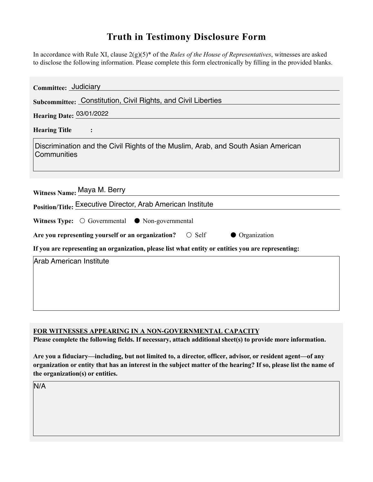## **Truth in Testimony Disclosure Form**

In accordance with Rule XI, clause 2(g)(5)\* of the *Rules of the House of Representatives*, witnesses are asked to disclose the following information. Please complete this form electronically by flling in the provided blanks.

| Committee: Judiciary                                                                               |
|----------------------------------------------------------------------------------------------------|
| Subcommittee: Constitution, Civil Rights, and Civil Liberties                                      |
| Hearing Date: 03/01/2022                                                                           |
| <b>Hearing Title</b><br>$\ddot{\cdot}$                                                             |
| Discrimination and the Civil Rights of the Muslim, Arab, and South Asian American<br>Communities   |
| Witness Name: Maya M. Berry<br>Position/Title: Executive Director, Arab American Institute         |
| Witness Type: $\bigcirc$ Governmental $\bullet$ Non-governmental                                   |
| Are you representing yourself or an organization? $\bigcirc$ Self<br>• Organization                |
| If you are representing an organization, please list what entity or entities you are representing: |
| Arab American Institute                                                                            |

**FOR WITNESSES APPEARING IN A NON-GOVERNMENTAL CAPACITY**

Please complete the following fields. If necessary, attach additional sheet(s) to provide more information.

**Are you a fiduciary—including, but not limited to, a director, officer, advisor, or resident agent—of any organization or entity that has an interest in the subject matter of the hearing? If so, please list the name of the organization(s) or entities.**

N/A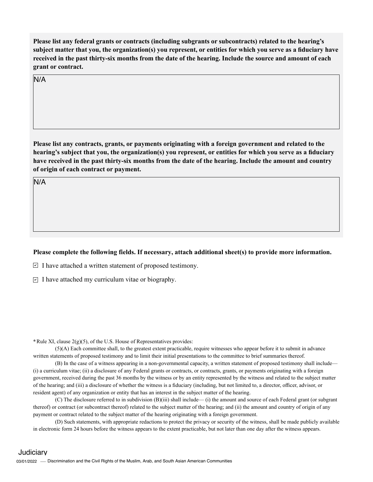**Please list any federal grants or contracts (including subgrants or subcontracts) related to the hearing's subject matter that you, the organization(s) you represent, or entities for which you serve as a fduciary have received in the past thirty-six months from the date of the hearing. Include the source and amount of each grant or contract.** 

N/A

**Please list any contracts, grants or payments originating with a foreign government and related to the hearing's subject that you, the organization(s) you represent, or entities for which you serve as a fduciary have received in the past thirty-six months from the date of the hearing. Include the amount and country of origin of each contract or payment.** 

N/A

## Please complete the following fields. If necessary, attach additional sheet(s) to provide more information.

 $\Box$  I have attached a written statement of proposed testimony.

I have attached my curriculum vitae or biography.

**\***Rule XI, clause 2(g)(5), of the U.S. House of Representatives provides:

(5)(A) Each committee shall, to the greatest extent practicable, require witnesses who appear before it to submit in advance written statements of proposed testimony and to limit their initial presentations to the committee to brief summaries thereof.

(B) In the case of a witness appearing in a non-governmental capacity, a written statement of proposed testimony shall include— (i) a curriculum vitae; (ii) a disclosure of any Federal grants or contracts, or contracts, grants, or payments originating with a foreign government, received during the past 36 months by the witness or by an entity represented by the witness and related to the subject matter of the hearing; and (iii) a disclosure of whether the witness is a fiduciary (including, but not limited to, a director, officer, advisor, or resident agent) of any organization or entity that has an interest in the subject matter of the hearing.

(C) The disclosure referred to in subdivision (B)(iii) shall include— (i) the amount and source of each Federal grant (or subgrant thereof) or contract (or subcontract thereof) related to the subject matter of the hearing; and (ii) the amount and country of origin of any payment or contract related to the subject matter of the hearing originating with a foreign government.

(D) Such statements, with appropriate redactions to protect the privacy or security of the witness, shall be made publicly available in electronic form 24 hours before the witness appears to the extent practicable, but not later than one day after the witness appears.